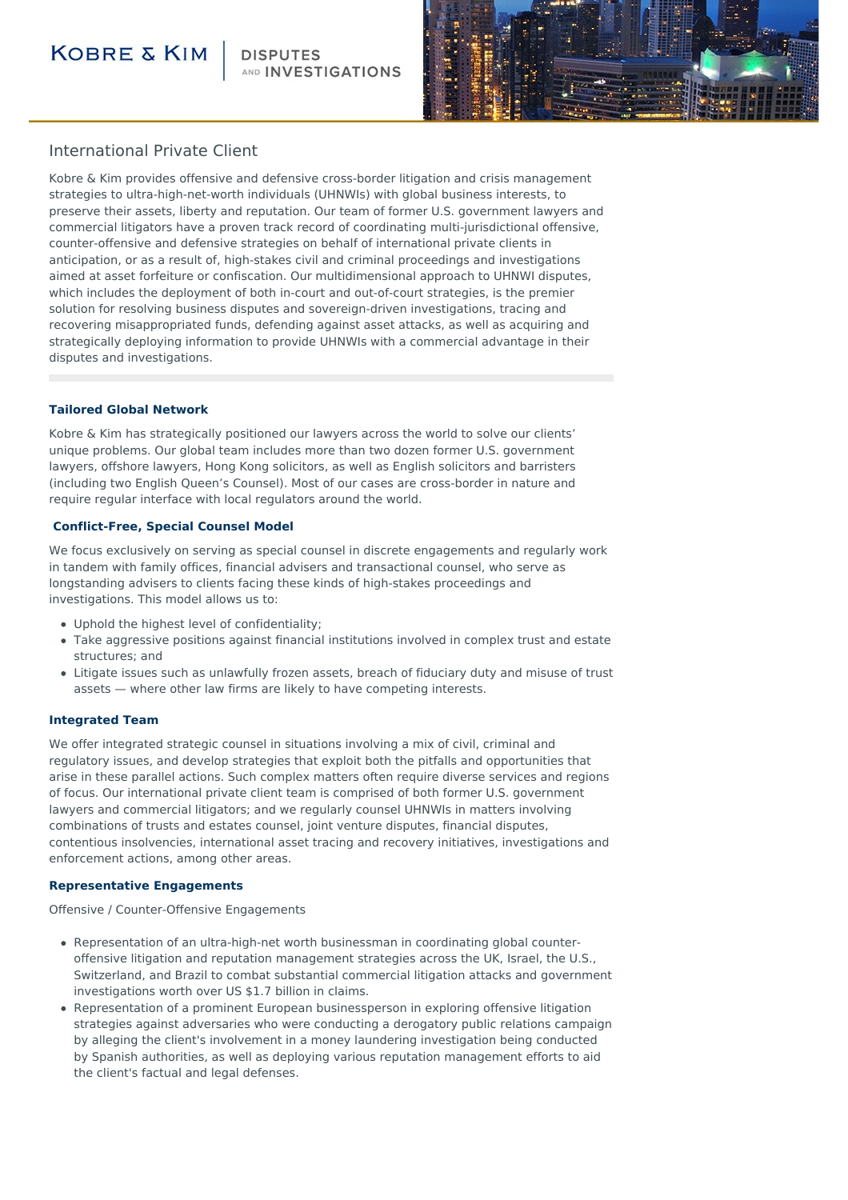### **KOBRE & KIM**

AND **INVESTIGATIONS** 



### International Private Client

Kobre & Kim provides offensive and defensive cross-border litigation and crisis management strategies to ultra-high-net-worth individuals (UHNWIs) with global business interests, to preserve their assets, liberty and reputation. Our team of former U.S. government lawyers and commercial litigators have a proven track record of coordinating multi-jurisdictional offensive, counter-offensive and defensive strategies on behalf of international private clients in anticipation, or as a result of, high-stakes civil and criminal proceedings and investigations aimed at asset forfeiture or confiscation. Our multidimensional approach to UHNWI disputes, which includes the deployment of both in-court and out-of-court strategies, is the premier solution for resolving business disputes and sovereign-driven investigations, tracing and recovering misappropriated funds, defending against asset attacks, as well as acquiring and strategically deploying information to provide UHNWIs with a commercial advantage in their disputes and investigations.

#### **Tailored Global Network**

Kobre & Kim has strategically positioned our lawyers across the world to solve our clients' unique problems. Our global team includes more than two dozen former U.S. government lawyers, offshore lawyers, Hong Kong solicitors, as well as English solicitors and barristers (including two English Queen's Counsel). Most of our cases are cross-border in nature and require regular interface with local regulators around the world.

#### **Conflict-Free, Special Counsel Model**

We focus exclusively on serving as special counsel in discrete engagements and regularly work in tandem with family offices, financial advisers and transactional counsel, who serve as longstanding advisers to clients facing these kinds of high-stakes proceedings and investigations. This model allows us to:

- Uphold the highest level of confidentiality;
- Take aggressive positions against financial institutions involved in complex trust and estate structures; and
- Litigate issues such as unlawfully frozen assets, breach of fiduciary duty and misuse of trust assets — where other law firms are likely to have competing interests.

#### **Integrated Team**

We offer integrated strategic counsel in situations involving a mix of civil, criminal and regulatory issues, and develop strategies that exploit both the pitfalls and opportunities that arise in these parallel actions. Such complex matters often require diverse services and regions of focus. Our international private client team is comprised of both former U.S. government lawyers and commercial litigators; and we regularly counsel UHNWIs in matters involving combinations of trusts and estates counsel, joint venture disputes, financial disputes, contentious insolvencies, international asset tracing and recovery initiatives, investigations and enforcement actions, among other areas.

#### **Representative Engagements**

Offensive / Counter-Offensive Engagements

- Representation of an ultra-high-net worth businessman in coordinating global counteroffensive litigation and reputation management strategies across the UK, Israel, the U.S., Switzerland, and Brazil to combat substantial commercial litigation attacks and government investigations worth over US \$1.7 billion in claims.
- Representation of a prominent European businessperson in exploring offensive litigation strategies against adversaries who were conducting a derogatory public relations campaign by alleging the client's involvement in a money laundering investigation being conducted by Spanish authorities, as well as deploying various reputation management efforts to aid the client's factual and legal defenses.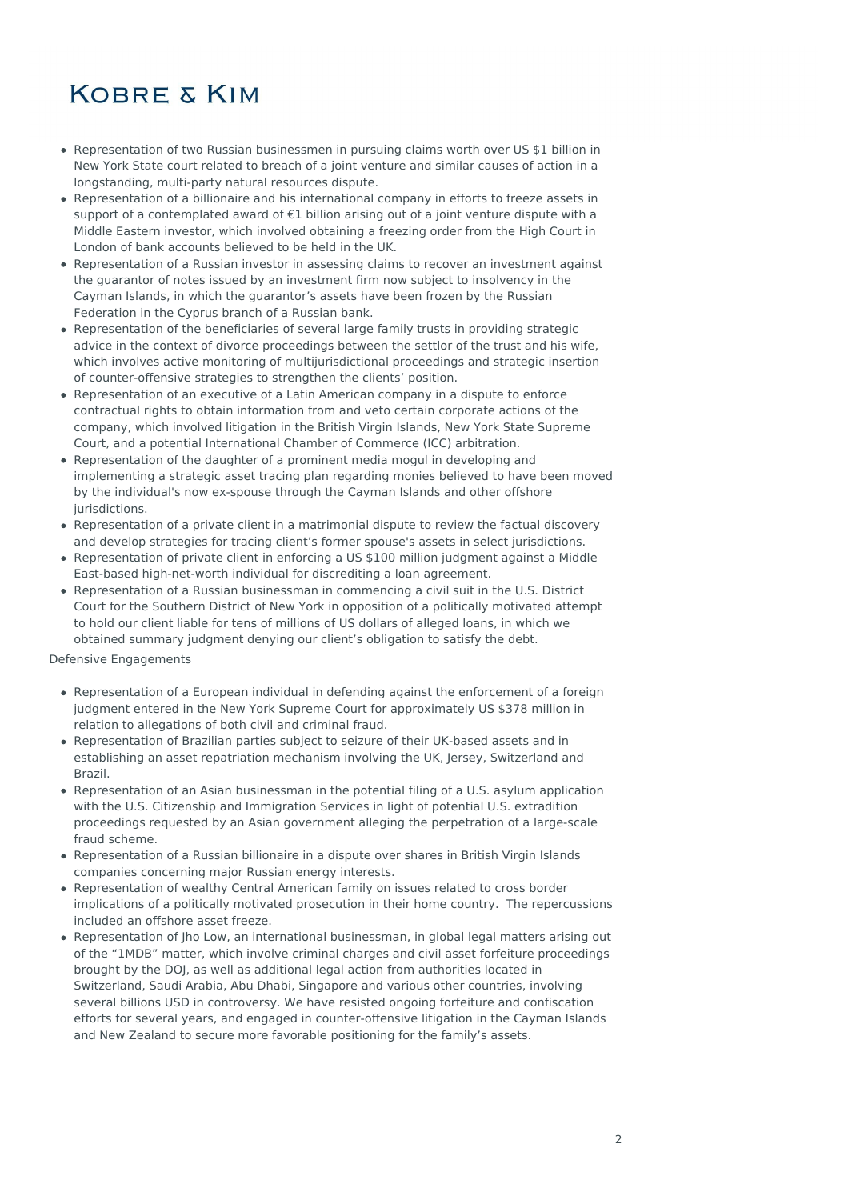# **KOBRE & KIM**

- Representation of two Russian businessmen in pursuing claims worth over US \$1 billion in New York State court related to breach of a joint venture and similar causes of action in a longstanding, multi-party natural resources dispute.
- Representation of a billionaire and his international company in efforts to freeze assets in support of a contemplated award of €1 billion arising out of a joint venture dispute with a Middle Eastern investor, which involved obtaining a freezing order from the High Court in London of bank accounts believed to be held in the UK.
- Representation of a Russian investor in assessing claims to recover an investment against the guarantor of notes issued by an investment firm now subject to insolvency in the Cayman Islands, in which the guarantor's assets have been frozen by the Russian Federation in the Cyprus branch of a Russian bank.
- Representation of the beneficiaries of several large family trusts in providing strategic advice in the context of divorce proceedings between the settlor of the trust and his wife, which involves active monitoring of multijurisdictional proceedings and strategic insertion of counter-offensive strategies to strengthen the clients' position.
- Representation of an executive of a Latin American company in a dispute to enforce contractual rights to obtain information from and veto certain corporate actions of the company, which involved litigation in the British Virgin Islands, New York State Supreme Court, and a potential International Chamber of Commerce (ICC) arbitration.
- Representation of the daughter of a prominent media mogul in developing and implementing a strategic asset tracing plan regarding monies believed to have been moved by the individual's now ex-spouse through the Cayman Islands and other offshore jurisdictions.
- Representation of a private client in a matrimonial dispute to review the factual discovery and develop strategies for tracing client's former spouse's assets in select jurisdictions.
- Representation of private client in enforcing a US \$100 million judgment against a Middle East-based high-net-worth individual for discrediting a loan agreement.
- Representation of a Russian businessman in commencing a civil suit in the U.S. District Court for the Southern District of New York in opposition of a politically motivated attempt to hold our client liable for tens of millions of US dollars of alleged loans, in which we obtained summary judgment denying our client's obligation to satisfy the debt.

Defensive Engagements

- Representation of a European individual in defending against the enforcement of a foreign judgment entered in the New York Supreme Court for approximately US \$378 million in relation to allegations of both civil and criminal fraud.
- Representation of Brazilian parties subject to seizure of their UK-based assets and in establishing an asset repatriation mechanism involving the UK, Jersey, Switzerland and Brazil.
- Representation of an Asian businessman in the potential filing of a U.S. asylum application with the U.S. Citizenship and Immigration Services in light of potential U.S. extradition proceedings requested by an Asian government alleging the perpetration of a large-scale fraud scheme.
- Representation of a Russian billionaire in a dispute over shares in British Virgin Islands companies concerning major Russian energy interests.
- Representation of wealthy Central American family on issues related to cross border implications of a politically motivated prosecution in their home country. The repercussions included an offshore asset freeze.
- Representation of Jho Low, an international businessman, in global legal matters arising out of the "1MDB" matter, which involve criminal charges and civil asset forfeiture proceedings brought by the DOJ, as well as additional legal action from authorities located in Switzerland, Saudi Arabia, Abu Dhabi, Singapore and various other countries, involving several billions USD in controversy. We have resisted ongoing forfeiture and confiscation efforts for several years, and engaged in counter-offensive litigation in the Cayman Islands and New Zealand to secure more favorable positioning for the family's assets.